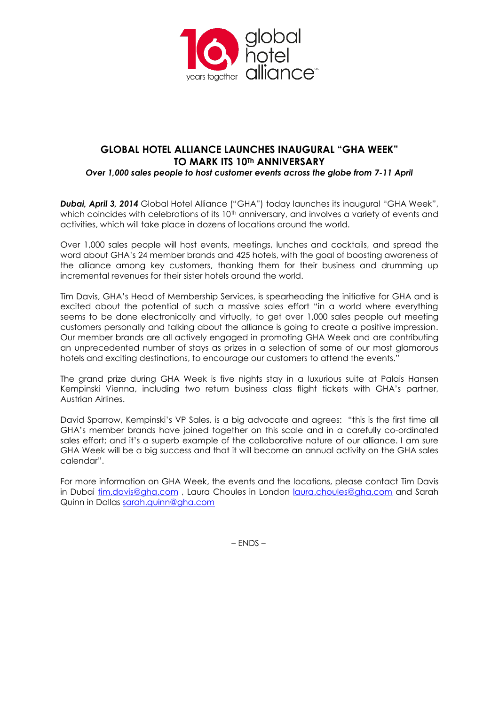

# **GLOBAL HOTEL ALLIANCE LAUNCHES INAUGURAL "GHA WEEK" TO MARK ITS 10Th ANNIVERSARY**

*Over 1,000 sales people to host customer events across the globe from 7-11 April*

*Dubai, April 3, 2014* Global Hotel Alliance ("GHA") today launches its inaugural "GHA Week", which coincides with celebrations of its  $10<sup>th</sup>$  anniversary, and involves a variety of events and activities, which will take place in dozens of locations around the world.

Over 1,000 sales people will host events, meetings, lunches and cocktails, and spread the word about GHA's 24 member brands and 425 hotels, with the goal of boosting awareness of the alliance among key customers, thanking them for their business and drumming up incremental revenues for their sister hotels around the world.

Tim Davis, GHA's Head of Membership Services, is spearheading the initiative for GHA and is excited about the potential of such a massive sales effort "in a world where everything seems to be done electronically and virtually, to get over 1,000 sales people out meeting customers personally and talking about the alliance is going to create a positive impression. Our member brands are all actively engaged in promoting GHA Week and are contributing an unprecedented number of stays as prizes in a selection of some of our most glamorous hotels and exciting destinations, to encourage our customers to attend the events."

The grand prize during GHA Week is five nights stay in a luxurious suite at Palais Hansen Kempinski Vienna, including two return business class flight tickets with GHA's partner, Austrian Airlines.

David Sparrow, Kempinski's VP Sales, is a big advocate and agrees: "this is the first time all GHA's member brands have joined together on this scale and in a carefully co-ordinated sales effort; and it's a superb example of the collaborative nature of our alliance. I am sure GHA Week will be a big success and that it will become an annual activity on the GHA sales calendar".

For more information on GHA Week, the events and the locations, please contact Tim Davis in Dubai [tim.davis@gha.com](mailto:tim.davis@gha.com) , Laura Choules in London [laura.choules@gha.com](mailto:laura.choules@gha.com) and Sarah Quinn in Dallas [sarah.quinn@gha.com](mailto:sarah.quinn@gha.com)

– ENDS –